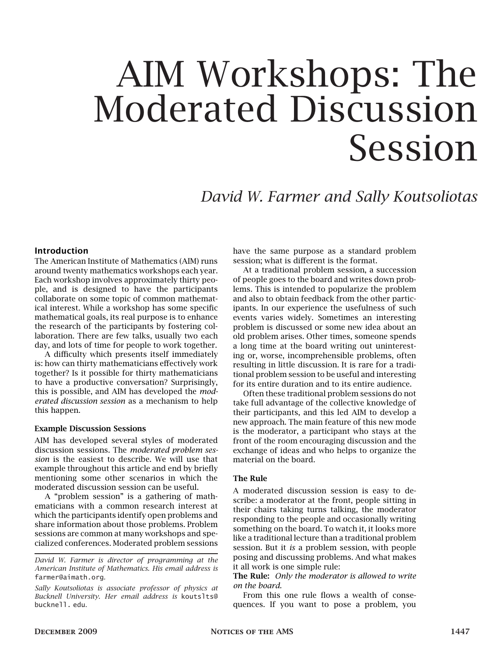# AIM Workshops: The Moderated Discussion Session

*David W. Farmer and Sally Koutsoliotas*

#### Introduction

The American Institute of Mathematics (AIM) runs around twenty mathematics workshops each year. Each workshop involves approximately thirty people, and is designed to have the participants collaborate on some topic of common mathematical interest. While a workshop has some specific mathematical goals, its real purpose is to enhance the research of the participants by fostering collaboration. There are few talks, usually two each day, and lots of time for people to work together.

A difficulty which presents itself immediately is: how can thirty mathematicians effectively work together? Is it possible for thirty mathematicians to have a productive conversation? Surprisingly, this is possible, and AIM has developed the *moderated discussion session* as a mechanism to help this happen.

#### Example Discussion Sessions

AIM has developed several styles of moderated discussion sessions. The *moderated problem session* is the easiest to describe. We will use that example throughout this article and end by briefly mentioning some other scenarios in which the moderated discussion session can be useful.

A "problem session" is a gathering of mathematicians with a common research interest at which the participants identify open problems and share information about those problems. Problem sessions are common at many workshops and specialized conferences. Moderated problem sessions

*Sally Koutsoliotas is associate professor of physics at Bucknell University. Her email address is* koutslts@ bucknell. edu*.*

have the same purpose as a standard problem session; what is different is the format.

At a traditional problem session, a succession of people goes to the board and writes down problems. This is intended to popularize the problem and also to obtain feedback from the other participants. In our experience the usefulness of such events varies widely. Sometimes an interesting problem is discussed or some new idea about an old problem arises. Other times, someone spends a long time at the board writing out uninteresting or, worse, incomprehensible problems, often resulting in little discussion. It is rare for a traditional problem session to be useful and interesting for its entire duration and to its entire audience.

Often these traditional problem sessions do not take full advantage of the collective knowledge of their participants, and this led AIM to develop a new approach. The main feature of this new mode is the moderator, a participant who stays at the front of the room encouraging discussion and the exchange of ideas and who helps to organize the material on the board.

#### The Rule

A moderated discussion session is easy to describe: a moderator at the front, people sitting in their chairs taking turns talking, the moderator responding to the people and occasionally writing something on the board. To watch it, it looks more like a traditional lecture than a traditional problem session. But it *is* a problem session, with people posing and discussing problems. And what makes it all work is one simple rule:

The Rule: *Only the moderator is allowed to write on the board.*

From this one rule flows a wealth of consequences. If you want to pose a problem, you

*David W. Farmer is director of programming at the American Institute of Mathematics. His email address is* farmer@aimath.org*.*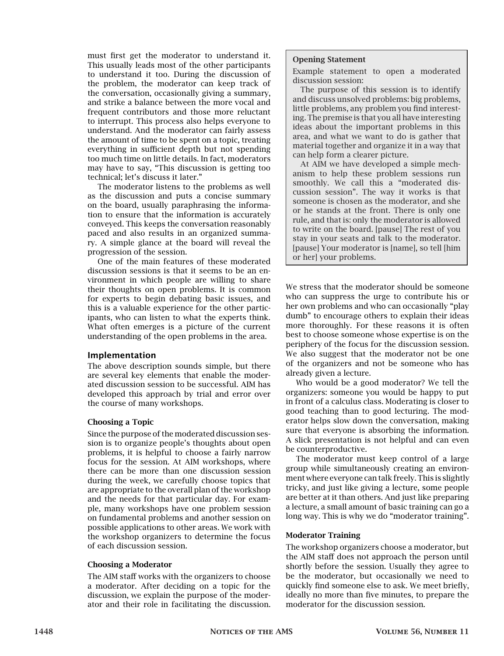must first get the moderator to understand it. This usually leads most of the other participants to understand it too. During the discussion of the problem, the moderator can keep track of the conversation, occasionally giving a summary, and strike a balance between the more vocal and frequent contributors and those more reluctant to interrupt. This process also helps everyone to understand. And the moderator can fairly assess the amount of time to be spent on a topic, treating everything in sufficient depth but not spending too much time on little details. In fact, moderators may have to say, "This discussion is getting too technical; let's discuss it later."

The moderator listens to the problems as well as the discussion and puts a concise summary on the board, usually paraphrasing the information to ensure that the information is accurately conveyed. This keeps the conversation reasonably paced and also results in an organized summary. A simple glance at the board will reveal the progression of the session.

One of the main features of these moderated discussion sessions is that it seems to be an environment in which people are willing to share their thoughts on open problems. It is common for experts to begin debating basic issues, and this is a valuable experience for the other participants, who can listen to what the experts think. What often emerges is a picture of the current understanding of the open problems in the area.

## Implementation

The above description sounds simple, but there are several key elements that enable the moderated discussion session to be successful. AIM has developed this approach by trial and error over the course of many workshops.

#### Choosing a Topic

Since the purpose of the moderated discussion session is to organize people's thoughts about open problems, it is helpful to choose a fairly narrow focus for the session. At AIM workshops, where there can be more than one discussion session during the week, we carefully choose topics that are appropriate to the overall plan of the workshop and the needs for that particular day. For example, many workshops have one problem session on fundamental problems and another session on possible applications to other areas. We work with the workshop organizers to determine the focus of each discussion session.

#### Choosing a Moderator

The AIM staff works with the organizers to choose a moderator. After deciding on a topic for the discussion, we explain the purpose of the moderator and their role in facilitating the discussion.

#### Opening Statement

Example statement to open a moderated discussion session:

The purpose of this session is to identify and discuss unsolved problems: big problems, little problems, any problem you find interesting. The premise is that you all have interesting ideas about the important problems in this area, and what we want to do is gather that material together and organize it in a way that can help form a clearer picture.

At AIM we have developed a simple mechanism to help these problem sessions run smoothly. We call this a "moderated discussion session". The way it works is that someone is chosen as the moderator, and she or he stands at the front. There is only one rule, and that is: only the moderator is allowed to write on the board. [pause] The rest of you stay in your seats and talk to the moderator. [pause] Your moderator is [name], so tell [him or her] your problems.

We stress that the moderator should be someone who can suppress the urge to contribute his or her own problems and who can occasionally "play dumb" to encourage others to explain their ideas more thoroughly. For these reasons it is often best to choose someone whose expertise is on the periphery of the focus for the discussion session. We also suggest that the moderator not be one of the organizers and not be someone who has already given a lecture.

Who would be a good moderator? We tell the organizers: someone you would be happy to put in front of a calculus class. Moderating is closer to good teaching than to good lecturing. The moderator helps slow down the conversation, making sure that everyone is absorbing the information. A slick presentation is not helpful and can even be counterproductive.

The moderator must keep control of a large group while simultaneously creating an environment where everyone can talk freely. This is slightly tricky, and just like giving a lecture, some people are better at it than others. And just like preparing a lecture, a small amount of basic training can go a long way. This is why we do "moderator training".

#### Moderator Training

The workshop organizers choose a moderator, but the AIM staff does not approach the person until shortly before the session. Usually they agree to be the moderator, but occasionally we need to quickly find someone else to ask. We meet briefly, ideally no more than five minutes, to prepare the moderator for the discussion session.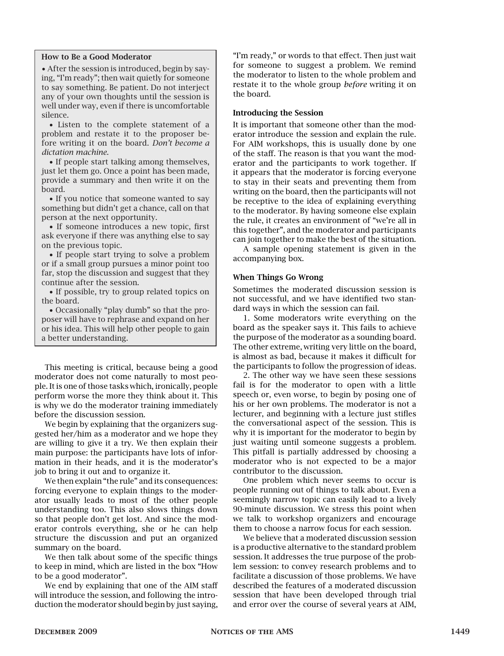#### How to Be a Good Moderator

• After the session is introduced, begin by saying, "I'm ready"; then wait quietly for someone to say something. Be patient. Do not interject any of your own thoughts until the session is well under way, even if there is uncomfortable silence.

• Listen to the complete statement of a problem and restate it to the proposer before writing it on the board. *Don't become a dictation machine*.

• If people start talking among themselves, just let them go. Once a point has been made, provide a summary and then write it on the board.

• If you notice that someone wanted to say something but didn't get a chance, call on that person at the next opportunity.

• If someone introduces a new topic, first ask everyone if there was anything else to say on the previous topic.

• If people start trying to solve a problem or if a small group pursues a minor point too far, stop the discussion and suggest that they continue after the session.

• If possible, try to group related topics on the board.

• Occasionally "play dumb" so that the proposer will have to rephrase and expand on her or his idea. This will help other people to gain a better understanding.

This meeting is critical, because being a good moderator does not come naturally to most people. It is one of those tasks which, ironically, people perform worse the more they think about it. This is why we do the moderator training immediately before the discussion session.

We begin by explaining that the organizers suggested her/him as a moderator and we hope they are willing to give it a try. We then explain their main purpose: the participants have lots of information in their heads, and it is the moderator's job to bring it out and to organize it.

We then explain "the rule" and its consequences: forcing everyone to explain things to the moderator usually leads to most of the other people understanding too. This also slows things down so that people don't get lost. And since the moderator controls everything, she or he can help structure the discussion and put an organized summary on the board.

We then talk about some of the specific things to keep in mind, which are listed in the box "How to be a good moderator".

We end by explaining that one of the AIM staff will introduce the session, and following the introduction the moderator should begin by just saying,

"I'm ready," or words to that effect. Then just wait for someone to suggest a problem. We remind the moderator to listen to the whole problem and restate it to the whole group *before* writing it on the board.

#### Introducing the Session

It is important that someone other than the moderator introduce the session and explain the rule. For AIM workshops, this is usually done by one of the staff. The reason is that you want the moderator and the participants to work together. If it appears that the moderator is forcing everyone to stay in their seats and preventing them from writing on the board, then the participants will not be receptive to the idea of explaining everything to the moderator. By having someone else explain the rule, it creates an environment of "we're all in this together", and the moderator and participants can join together to make the best of the situation.

A sample opening statement is given in the accompanying box.

### When Things Go Wrong

Sometimes the moderated discussion session is not successful, and we have identified two standard ways in which the session can fail.

1. Some moderators write everything on the board as the speaker says it. This fails to achieve the purpose of the moderator as a sounding board. The other extreme, writing very little on the board, is almost as bad, because it makes it difficult for the participants to follow the progression of ideas.

2. The other way we have seen these sessions fail is for the moderator to open with a little speech or, even worse, to begin by posing one of his or her own problems. The moderator is not a lecturer, and beginning with a lecture just stifles the conversational aspect of the session. This is why it is important for the moderator to begin by just waiting until someone suggests a problem. This pitfall is partially addressed by choosing a moderator who is not expected to be a major contributor to the discussion.

One problem which never seems to occur is people running out of things to talk about. Even a seemingly narrow topic can easily lead to a lively 90-minute discussion. We stress this point when we talk to workshop organizers and encourage them to choose a narrow focus for each session.

We believe that a moderated discussion session is a productive alternative to the standard problem session. It addresses the true purpose of the problem session: to convey research problems and to facilitate a discussion of those problems. We have described the features of a moderated discussion session that have been developed through trial and error over the course of several years at AIM,